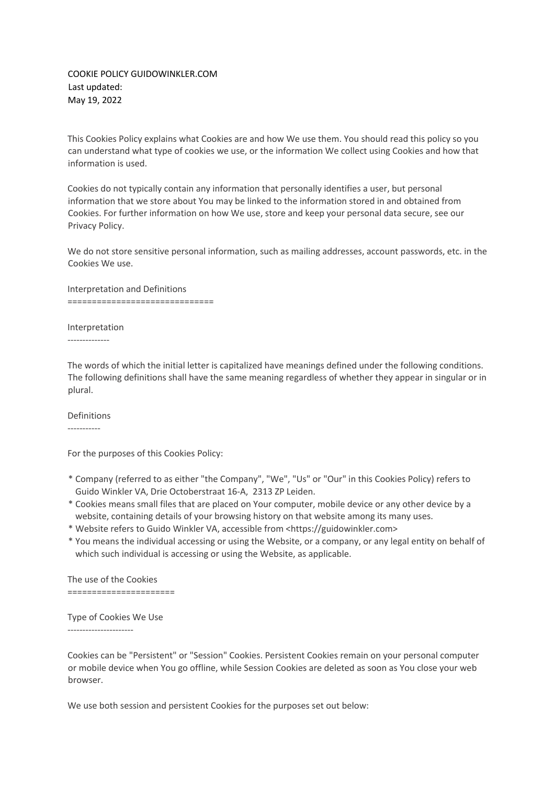COOKIE POLICY GUIDOWINKLER.COM Last updated: May 19, 2022

This Cookies Policy explains what Cookies are and how We use them. You should read this policy so you can understand what type of cookies we use, or the information We collect using Cookies and how that information is used.

Cookies do not typically contain any information that personally identifies a user, but personal information that we store about You may be linked to the information stored in and obtained from Cookies. For further information on how We use, store and keep your personal data secure, see our Privacy Policy.

We do not store sensitive personal information, such as mailing addresses, account passwords, etc. in the Cookies We use.

Interpretation and Definitions ==============================

Interpretation

--------------

The words of which the initial letter is capitalized have meanings defined under the following conditions. The following definitions shall have the same meaning regardless of whether they appear in singular or in plural.

Definitions -----------

For the purposes of this Cookies Policy:

- \* Company (referred to as either "the Company", "We", "Us" or "Our" in this Cookies Policy) refers to Guido Winkler VA, Drie Octoberstraat 16-A, 2313 ZP Leiden.
- \* Cookies means small files that are placed on Your computer, mobile device or any other device by a website, containing details of your browsing history on that website among its many uses.
- \* Website refers to Guido Winkler VA, accessible from <https://guidowinkler.com>
- \* You means the individual accessing or using the Website, or a company, or any legal entity on behalf of which such individual is accessing or using the Website, as applicable.

The use of the Cookies ======================

Type of Cookies We Use

----------------------

Cookies can be "Persistent" or "Session" Cookies. Persistent Cookies remain on your personal computer or mobile device when You go offline, while Session Cookies are deleted as soon as You close your web browser.

We use both session and persistent Cookies for the purposes set out below: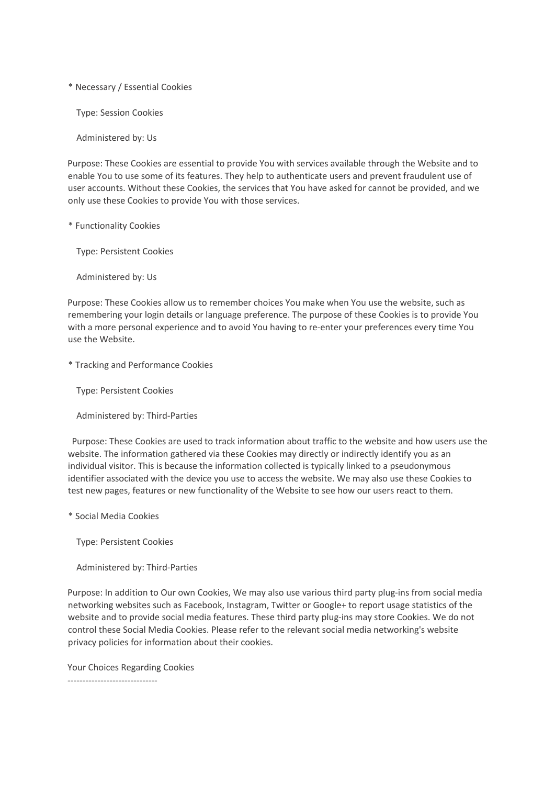\* Necessary / Essential Cookies

Type: Session Cookies

Administered by: Us

Purpose: These Cookies are essential to provide You with services available through the Website and to enable You to use some of its features. They help to authenticate users and prevent fraudulent use of user accounts. Without these Cookies, the services that You have asked for cannot be provided, and we only use these Cookies to provide You with those services.

\* Functionality Cookies

Type: Persistent Cookies

Administered by: Us

Purpose: These Cookies allow us to remember choices You make when You use the website, such as remembering your login details or language preference. The purpose of these Cookies is to provide You with a more personal experience and to avoid You having to re-enter your preferences every time You use the Website.

\* Tracking and Performance Cookies

Type: Persistent Cookies

Administered by: Third-Parties

 Purpose: These Cookies are used to track information about traffic to the website and how users use the website. The information gathered via these Cookies may directly or indirectly identify you as an individual visitor. This is because the information collected is typically linked to a pseudonymous identifier associated with the device you use to access the website. We may also use these Cookies to test new pages, features or new functionality of the Website to see how our users react to them.

\* Social Media Cookies

Type: Persistent Cookies

Administered by: Third-Parties

Purpose: In addition to Our own Cookies, We may also use various third party plug-ins from social media networking websites such as Facebook, Instagram, Twitter or Google+ to report usage statistics of the website and to provide social media features. These third party plug-ins may store Cookies. We do not control these Social Media Cookies. Please refer to the relevant social media networking's website privacy policies for information about their cookies.

Your Choices Regarding Cookies

------------------------------